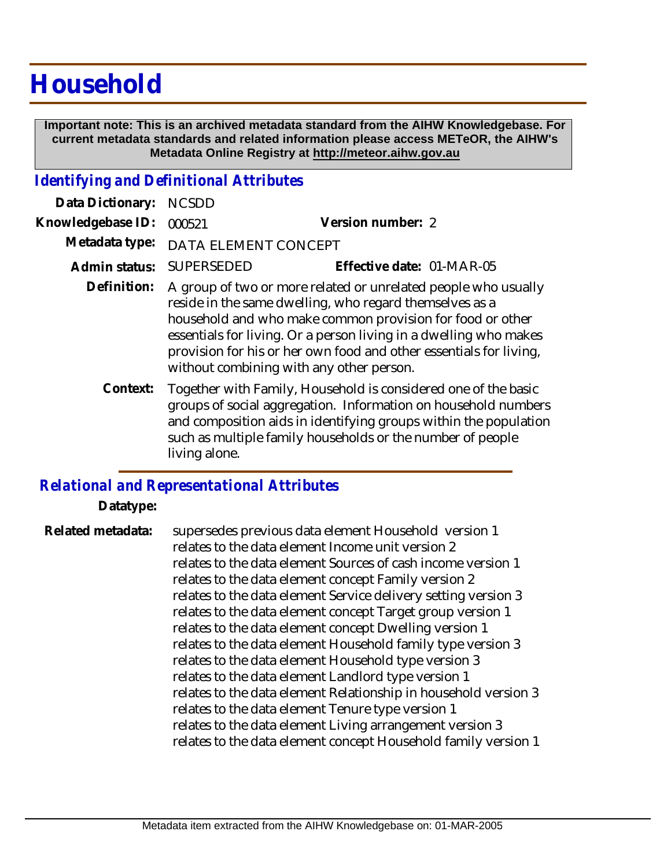## **Household**

 **Important note: This is an archived metadata standard from the AIHW Knowledgebase. For current metadata standards and related information please access METeOR, the AIHW's Metadata Online Registry at http://meteor.aihw.gov.au**

## *Identifying and Definitional Attributes*

| Data Dictionary:  | <b>NCSDD</b>                                                                                                                                                                                                                                                                                                                                                                  |                                                                                                                                                                                                                                                                    |
|-------------------|-------------------------------------------------------------------------------------------------------------------------------------------------------------------------------------------------------------------------------------------------------------------------------------------------------------------------------------------------------------------------------|--------------------------------------------------------------------------------------------------------------------------------------------------------------------------------------------------------------------------------------------------------------------|
| Knowledgebase ID: | 000521                                                                                                                                                                                                                                                                                                                                                                        | Version number: 2                                                                                                                                                                                                                                                  |
| Metadata type:    | DATA ELEMENT CONCEPT                                                                                                                                                                                                                                                                                                                                                          |                                                                                                                                                                                                                                                                    |
| Admin status:     | <b>SUPERSEDED</b>                                                                                                                                                                                                                                                                                                                                                             | Effective date: 01-MAR-05                                                                                                                                                                                                                                          |
| Definition:       | A group of two or more related or unrelated people who usually<br>reside in the same dwelling, who regard themselves as a<br>household and who make common provision for food or other<br>essentials for living. Or a person living in a dwelling who makes<br>provision for his or her own food and other essentials for living,<br>without combining with any other person. |                                                                                                                                                                                                                                                                    |
| Context:          | living alone.                                                                                                                                                                                                                                                                                                                                                                 | Together with Family, Household is considered one of the basic<br>groups of social aggregation. Information on household numbers<br>and composition aids in identifying groups within the population<br>such as multiple family households or the number of people |

## *Relational and Representational Attributes*

**Datatype:**

supersedes previous data element Household version 1 relates to the data element Income unit version 2 relates to the data element Sources of cash income version 1 relates to the data element concept Family version 2 relates to the data element Service delivery setting version 3 relates to the data element concept Target group version 1 relates to the data element concept Dwelling version 1 relates to the data element Household family type version 3 relates to the data element Household type version 3 relates to the data element Landlord type version 1 relates to the data element Relationship in household version 3 relates to the data element Tenure type version 1 relates to the data element Living arrangement version 3 relates to the data element concept Household family version 1 **Related metadata:**